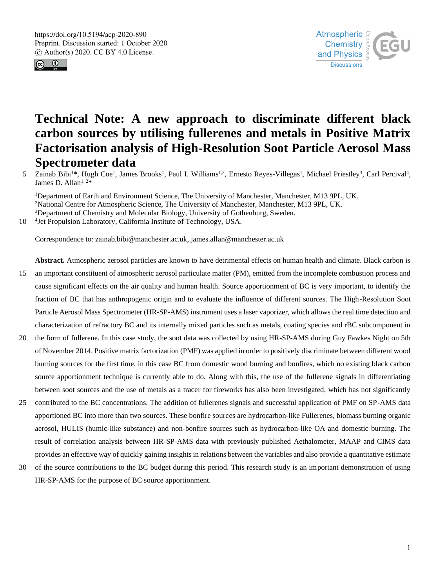



# **Technical Note: A new approach to discriminate different black carbon sources by utilising fullerenes and metals in Positive Matrix Factorisation analysis of High-Resolution Soot Particle Aerosol Mass Spectrometer data**

5 Zainab Bibi<sup>1\*</sup>, Hugh Coe<sup>1</sup>, James Brooks<sup>1</sup>, Paul I. Williams<sup>1,2</sup>, Ernesto Reyes-Villegas<sup>1</sup>, Michael Priestley<sup>3</sup>, Carl Percival<sup>4</sup>, James D. Allan<sup>1, 2\*</sup>

<sup>1</sup>Department of Earth and Environment Science, The University of Manchester, Manchester, M13 9PL, UK. <sup>2</sup>National Centre for Atmospheric Science, The University of Manchester, Manchester, M13 9PL, UK. <sup>3</sup>Department of Chemistry and Molecular Biology, University of Gothenburg, Sweden.

10 <sup>4</sup> Jet Propulsion Laboratory, California Institute of Technology, USA.

Correspondence to: zainab.bibi@manchester.ac.uk, james.allan@manchester.ac.uk

**Abstract.** Atmospheric aerosol particles are known to have detrimental effects on human health and climate. Black carbon is 15 an important constituent of atmospheric aerosol particulate matter (PM), emitted from the incomplete combustion process and cause significant effects on the air quality and human health. Source apportionment of BC is very important, to identify the fraction of BC that has anthropogenic origin and to evaluate the influence of different sources. The High-Resolution Soot Particle Aerosol Mass Spectrometer (HR-SP-AMS) instrument uses a laser vaporizer, which allows the real time detection and characterization of refractory BC and its internally mixed particles such as metals, coating species and rBC subcomponent in

- 20 the form of fullerene. In this case study, the soot data was collected by using HR-SP-AMS during Guy Fawkes Night on 5th of November 2014. Positive matrix factorization (PMF) was applied in order to positively discriminate between different wood burning sources for the first time, in this case BC from domestic wood burning and bonfires, which no existing black carbon source apportionment technique is currently able to do. Along with this, the use of the fullerene signals in differentiating between soot sources and the use of metals as a tracer for fireworks has also been investigated, which has not significantly
- 25 contributed to the BC concentrations. The addition of fullerenes signals and successful application of PMF on SP-AMS data apportioned BC into more than two sources. These bonfire sources are hydrocarbon-like Fullerenes, biomass burning organic aerosol, HULIS (humic-like substance) and non-bonfire sources such as hydrocarbon-like OA and domestic burning. The result of correlation analysis between HR-SP-AMS data with previously published Aethalometer, MAAP and CIMS data provides an effective way of quickly gaining insights in relations between the variables and also provide a quantitative estimate
- 30 of the source contributions to the BC budget during this period. This research study is an important demonstration of using HR-SP-AMS for the purpose of BC source apportionment.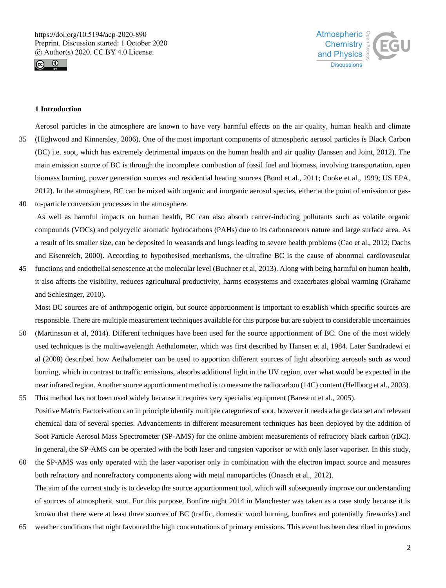



#### **1 Introduction**

Aerosol particles in the atmosphere are known to have very harmful effects on the air quality, human health and climate 35 (Highwood and Kinnersley, 2006). One of the most important components of atmospheric aerosol particles is Black Carbon (BC) i.e. soot, which has extremely detrimental impacts on the human health and air quality (Janssen and Joint, 2012). The main emission source of BC is through the incomplete combustion of fossil fuel and biomass, involving transportation, open biomass burning, power generation sources and residential heating sources (Bond et al., 2011; Cooke et al., 1999; US EPA, 2012). In the atmosphere, BC can be mixed with organic and inorganic aerosol species, either at the point of emission or gas-

40 to-particle conversion processes in the atmosphere.

As well as harmful impacts on human health, BC can also absorb cancer-inducing pollutants such as volatile organic compounds (VOCs) and polycyclic aromatic hydrocarbons (PAHs) due to its carbonaceous nature and large surface area. As a result of its smaller size, can be deposited in weasands and lungs leading to severe health problems (Cao et al., 2012; Dachs and Eisenreich, 2000). According to hypothesised mechanisms, the ultrafine BC is the cause of abnormal cardiovascular

45 functions and endothelial senescence at the molecular level (Buchner et al, 2013). Along with being harmful on human health, it also affects the visibility, reduces agricultural productivity, harms ecosystems and exacerbates global warming (Grahame and Schlesinger, 2010).

Most BC sources are of anthropogenic origin, but source apportionment is important to establish which specific sources are responsible. There are multiple measurement techniques available for this purpose but are subject to considerable uncertainties

- 50 (Martinsson et al, 2014). Different techniques have been used for the source apportionment of BC. One of the most widely used techniques is the multiwavelength Aethalometer, which was first described by Hansen et al, 1984. Later Sandradewi et al (2008) described how Aethalometer can be used to apportion different sources of light absorbing aerosols such as wood burning, which in contrast to traffic emissions, absorbs additional light in the UV region, over what would be expected in the near infrared region. Another source apportionment method is to measure the radiocarbon (14C) content (Hellborg et al., 2003).
- 55 This method has not been used widely because it requires very specialist equipment (Barescut et al., 2005). Positive Matrix Factorisation can in principle identify multiple categories of soot, however it needs a large data set and relevant chemical data of several species. Advancements in different measurement techniques has been deployed by the addition of Soot Particle Aerosol Mass Spectrometer (SP-AMS) for the online ambient measurements of refractory black carbon (rBC). In general, the SP-AMS can be operated with the both laser and tungsten vaporiser or with only laser vaporiser. In this study,
- 60 the SP-AMS was only operated with the laser vaporiser only in combination with the electron impact source and measures both refractory and nonrefractory components along with metal nanoparticles (Onasch et al., 2012). The aim of the current study is to develop the source apportionment tool, which will subsequently improve our understanding of sources of atmospheric soot. For this purpose, Bonfire night 2014 in Manchester was taken as a case study because it is known that there were at least three sources of BC (traffic, domestic wood burning, bonfires and potentially fireworks) and
- 65 weather conditions that night favoured the high concentrations of primary emissions. This event has been described in previous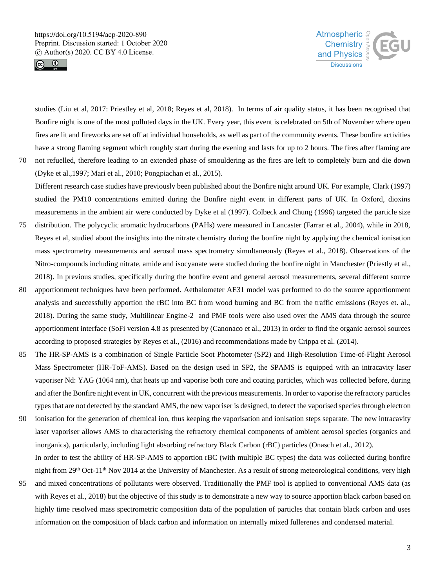



studies (Liu et al, 2017: Priestley et al, 2018; Reyes et al, 2018). In terms of air quality status, it has been recognised that Bonfire night is one of the most polluted days in the UK. Every year, this event is celebrated on 5th of November where open fires are lit and fireworks are set off at individual households, as well as part of the community events. These bonfire activities have a strong flaming segment which roughly start during the evening and lasts for up to 2 hours. The fires after flaming are 70 not refuelled, therefore leading to an extended phase of smouldering as the fires are left to completely burn and die down

(Dyke et al.,1997; Mari et al., 2010; Pongpiachan et al., 2015).

Different research case studies have previously been published about the Bonfire night around UK. For example, Clark (1997) studied the PM10 concentrations emitted during the Bonfire night event in different parts of UK. In Oxford, dioxins measurements in the ambient air were conducted by Dyke et al (1997). Colbeck and Chung (1996) targeted the particle size

- 75 distribution. The polycyclic aromatic hydrocarbons (PAHs) were measured in Lancaster (Farrar et al., 2004), while in 2018, Reyes et al, studied about the insights into the nitrate chemistry during the bonfire night by applying the chemical ionisation mass spectrometry measurements and aerosol mass spectrometry simultaneously (Reyes et al., 2018). Observations of the Nitro-compounds including nitrate, amide and isocyanate were studied during the bonfire night in Manchester (Priestly et al., 2018). In previous studies, specifically during the bonfire event and general aerosol measurements, several different source
- 80 apportionment techniques have been performed. Aethalometer AE31 model was performed to do the source apportionment analysis and successfully apportion the rBC into BC from wood burning and BC from the traffic emissions (Reyes et. al., 2018). During the same study, Multilinear Engine-2 and PMF tools were also used over the AMS data through the source apportionment interface (SoFi version 4.8 as presented by (Canonaco et al., 2013) in order to find the organic aerosol sources according to proposed strategies by Reyes et al., (2016) and recommendations made by Crippa et al. (2014).
- 85 The HR-SP-AMS is a combination of Single Particle Soot Photometer (SP2) and High-Resolution Time-of-Flight Aerosol Mass Spectrometer (HR-ToF-AMS). Based on the design used in SP2, the SPAMS is equipped with an intracavity laser vaporiser Nd: YAG (1064 nm), that heats up and vaporise both core and coating particles, which was collected before, during and after the Bonfire night event in UK, concurrent with the previous measurements. In order to vaporise the refractory particles types that are not detected by the standard AMS, the new vaporiser is designed, to detect the vaporised species through electron
- 90 ionisation for the generation of chemical ion, thus keeping the vaporisation and ionisation steps separate. The new intracavity laser vaporiser allows AMS to characterising the refractory chemical components of ambient aerosol species (organics and inorganics), particularly, including light absorbing refractory Black Carbon (rBC) particles (Onasch et al., 2012). In order to test the ability of HR-SP-AMS to apportion rBC (with multiple BC types) the data was collected during bonfire
- night from  $29<sup>th</sup>$  Oct-11<sup>th</sup> Nov 2014 at the University of Manchester. As a result of strong meteorological conditions, very high 95 and mixed concentrations of pollutants were observed. Traditionally the PMF tool is applied to conventional AMS data (as with Reyes et al., 2018) but the objective of this study is to demonstrate a new way to source apportion black carbon based on highly time resolved mass spectrometric composition data of the population of particles that contain black carbon and uses information on the composition of black carbon and information on internally mixed fullerenes and condensed material.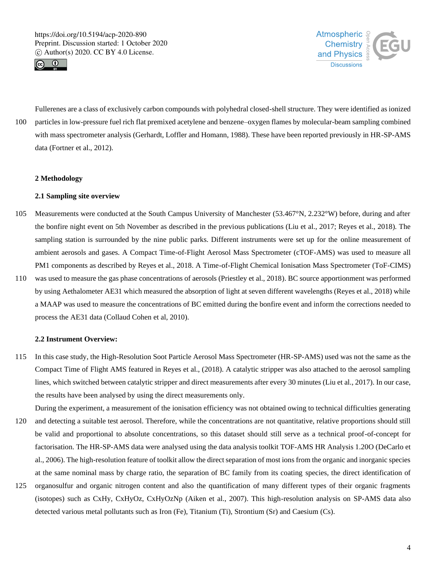



Fullerenes are a class of exclusively carbon compounds with polyhedral closed-shell structure. They were identified as ionized 100 particles in low-pressure fuel rich flat premixed acetylene and benzene–oxygen flames by molecular-beam sampling combined with mass spectrometer analysis (Gerhardt, Loffler and Homann, 1988). These have been reported previously in HR-SP-AMS data (Fortner et al., 2012).

### **2 Methodology**

#### **2.1 Sampling site overview**

- 105 Measurements were conducted at the South Campus University of Manchester (53.467°N, 2.232°W) before, during and after the bonfire night event on 5th November as described in the previous publications (Liu et al., 2017; Reyes et al., 2018). The sampling station is surrounded by the nine public parks. Different instruments were set up for the online measurement of ambient aerosols and gases. A Compact Time-of-Flight Aerosol Mass Spectrometer (cTOF-AMS) was used to measure all PM1 components as described by Reyes et al., 2018. A Time-of-Flight Chemical Ionisation Mass Spectrometer (ToF-CIMS)
- 110 was used to measure the gas phase concentrations of aerosols (Priestley et al., 2018). BC source apportionment was performed by using Aethalometer AE31 which measured the absorption of light at seven different wavelengths (Reyes et al., 2018) while a MAAP was used to measure the concentrations of BC emitted during the bonfire event and inform the corrections needed to process the AE31 data (Collaud Cohen et al, 2010).

#### **2.2 Instrument Overview:**

115 In this case study, the High-Resolution Soot Particle Aerosol Mass Spectrometer (HR-SP-AMS) used was not the same as the Compact Time of Flight AMS featured in Reyes et al., (2018). A catalytic stripper was also attached to the aerosol sampling lines, which switched between catalytic stripper and direct measurements after every 30 minutes (Liu et al., 2017). In our case, the results have been analysed by using the direct measurements only.

During the experiment, a measurement of the ionisation efficiency was not obtained owing to technical difficulties generating 120 and detecting a suitable test aerosol. Therefore, while the concentrations are not quantitative, relative proportions should still be valid and proportional to absolute concentrations, so this dataset should still serve as a technical proof-of-concept for factorisation. The HR-SP-AMS data were analysed using the data analysis toolkit TOF-AMS HR Analysis 1.20O (DeCarlo et al., 2006). The high-resolution feature of toolkit allow the direct separation of most ions from the organic and inorganic species at the same nominal mass by charge ratio, the separation of BC family from its coating species, the direct identification of

125 organosulfur and organic nitrogen content and also the quantification of many different types of their organic fragments (isotopes) such as CxHy, CxHyOz, CxHyOzNp (Aiken et al., 2007). This high-resolution analysis on SP-AMS data also detected various metal pollutants such as Iron (Fe), Titanium (Ti), Strontium (Sr) and Caesium (Cs).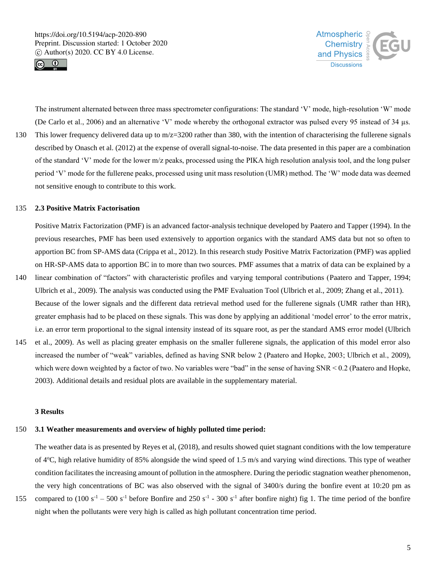



The instrument alternated between three mass spectrometer configurations: The standard 'V' mode, high-resolution 'W' mode (De Carlo et al., 2006) and an alternative 'V' mode whereby the orthogonal extractor was pulsed every 95 instead of 34 µs. 130 This lower frequency delivered data up to m/z=3200 rather than 380, with the intention of characterising the fullerene signals described by Onasch et al. (2012) at the expense of overall signal-to-noise. The data presented in this paper are a combination of the standard 'V' mode for the lower m/z peaks, processed using the PIKA high resolution analysis tool, and the long pulser period 'V' mode for the fullerene peaks, processed using unit mass resolution (UMR) method. The 'W' mode data was deemed not sensitive enough to contribute to this work.

## 135 **2.3 Positive Matrix Factorisation**

Positive Matrix Factorization (PMF) is an advanced factor-analysis technique developed by Paatero and Tapper (1994). In the previous researches, PMF has been used extensively to apportion organics with the standard AMS data but not so often to apportion BC from SP-AMS data (Crippa et al., 2012). In this research study Positive Matrix Factorization (PMF) was applied on HR-SP-AMS data to apportion BC in to more than two sources. PMF assumes that a matrix of data can be explained by a

- 140 linear combination of "factors" with characteristic profiles and varying temporal contributions (Paatero and Tapper, 1994; Ulbrich et al., 2009). The analysis was conducted using the PMF Evaluation Tool (Ulbrich et al., 2009; Zhang et al., 2011). Because of the lower signals and the different data retrieval method used for the fullerene signals (UMR rather than HR), greater emphasis had to be placed on these signals. This was done by applying an additional 'model error' to the error matrix, i.e. an error term proportional to the signal intensity instead of its square root, as per the standard AMS error model (Ulbrich
- 145 et al., 2009). As well as placing greater emphasis on the smaller fullerene signals, the application of this model error also increased the number of "weak" variables, defined as having SNR below 2 (Paatero and Hopke, 2003; Ulbrich et al., 2009), which were down weighted by a factor of two. No variables were "bad" in the sense of having SNR < 0.2 (Paatero and Hopke, 2003). Additional details and residual plots are available in the supplementary material.

## **3 Results**

#### 150 **3.1 Weather measurements and overview of highly polluted time period:**

The weather data is as presented by Reyes et al, (2018), and results showed quiet stagnant conditions with the low temperature of  $4^{\circ}$ C, high relative humidity of 85% alongside the wind speed of 1.5 m/s and varying wind directions. This type of weather condition facilitates the increasing amount of pollution in the atmosphere. During the periodic stagnation weather phenomenon, the very high concentrations of BC was also observed with the signal of 3400/s during the bonfire event at 10:20 pm as

155 compared to  $(100 \text{ s}^{-1} - 500 \text{ s}^{-1})$  before Bonfire and 250 s<sup>-1</sup> - 300 s<sup>-1</sup> after bonfire night) fig 1. The time period of the bonfire night when the pollutants were very high is called as high pollutant concentration time period.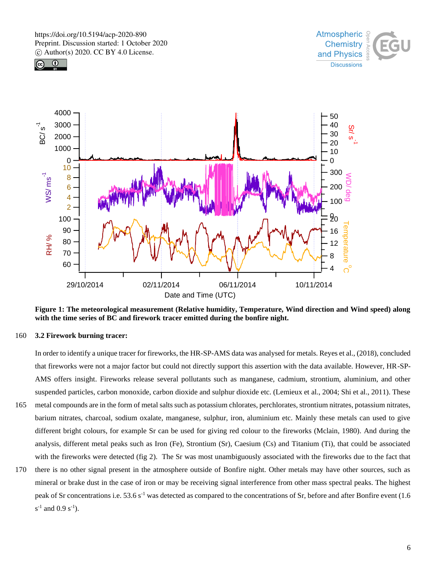

 $\odot$ 





**Figure 1: The meteorological measurement (Relative humidity, Temperature, Wind direction and Wind speed) along with the time series of BC and firework tracer emitted during the bonfire night.**

## 160 **3.2 Firework burning tracer:**

In order to identify a unique tracer for fireworks, the HR-SP-AMS data was analysed for metals. Reyes et al., (2018), concluded that fireworks were not a major factor but could not directly support this assertion with the data available. However, HR-SP-AMS offers insight. Fireworks release several pollutants such as manganese, cadmium, strontium, aluminium, and other suspended particles, carbon monoxide, carbon dioxide and sulphur dioxide etc. (Lemieux et al., 2004; Shi et al., 2011). These 165 metal compounds are in the form of metal salts such as potassium chlorates, perchlorates, strontium nitrates, potassium nitrates, barium nitrates, charcoal, sodium oxalate, manganese, sulphur, iron, aluminium etc. Mainly these metals can used to give different bright colours, for example Sr can be used for giving red colour to the fireworks (Mclain, 1980). And during the analysis, different metal peaks such as Iron (Fe), Strontium (Sr), Caesium (Cs) and Titanium (Ti), that could be associated with the fireworks were detected (fig 2). The Sr was most unambiguously associated with the fireworks due to the fact that

170 there is no other signal present in the atmosphere outside of Bonfire night. Other metals may have other sources, such as mineral or brake dust in the case of iron or may be receiving signal interference from other mass spectral peaks. The highest peak of Sr concentrations i.e.  $53.6 s^{-1}$  was detected as compared to the concentrations of Sr, before and after Bonfire event (1.6)  $s^{-1}$  and 0.9  $s^{-1}$ ).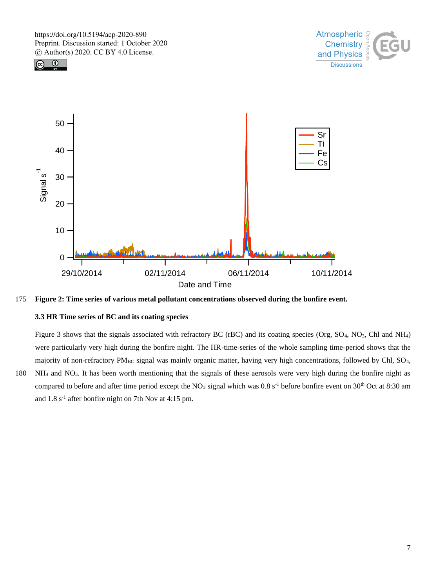





175 **Figure 2: Time series of various metal pollutant concentrations observed during the bonfire event.**

# **3.3 HR Time series of BC and its coating species**

Figure 3 shows that the signals associated with refractory BC (rBC) and its coating species (Org, SO<sub>4</sub>, NO<sub>3</sub>, Chl and NH<sub>4</sub>) were particularly very high during the bonfire night. The HR-time-series of the whole sampling time-period shows that the majority of non-refractory PM<sub>BC</sub> signal was mainly organic matter, having very high concentrations, followed by Chl, SO<sub>4</sub>,

180 NH<sup>4</sup> and NO3. It has been worth mentioning that the signals of these aerosols were very high during the bonfire night as compared to before and after time period except the NO<sub>3</sub> signal which was  $0.8 \text{ s}^{-1}$  before bonfire event on 30<sup>th</sup> Oct at 8:30 am and 1.8 s-1 after bonfire night on 7th Nov at 4:15 pm.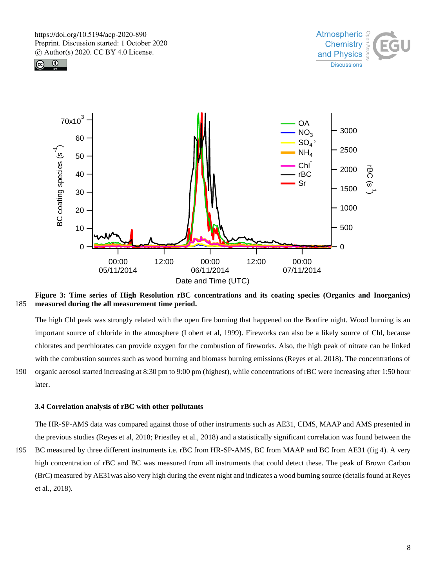





# **Figure 3: Time series of High Resolution rBC concentrations and its coating species (Organics and Inorganics)**  185 **measured during the all measurement time period.**

The high Chl peak was strongly related with the open fire burning that happened on the Bonfire night. Wood burning is an important source of chloride in the atmosphere (Lobert et al, 1999). Fireworks can also be a likely source of Chl, because chlorates and perchlorates can provide oxygen for the combustion of fireworks. Also, the high peak of nitrate can be linked with the combustion sources such as wood burning and biomass burning emissions (Reyes et al. 2018). The concentrations of 190 organic aerosol started increasing at 8:30 pm to 9:00 pm (highest), while concentrations of rBC were increasing after 1:50 hour later.

## **3.4 Correlation analysis of rBC with other pollutants**

The HR-SP-AMS data was compared against those of other instruments such as AE31, CIMS, MAAP and AMS presented in the previous studies (Reyes et al, 2018; Priestley et al., 2018) and a statistically significant correlation was found between the

195 BC measured by three different instruments i.e. rBC from HR-SP-AMS, BC from MAAP and BC from AE31 (fig 4). A very high concentration of rBC and BC was measured from all instruments that could detect these. The peak of Brown Carbon (BrC) measured by AE31was also very high during the event night and indicates a wood burning source (details found at Reyes et al., 2018).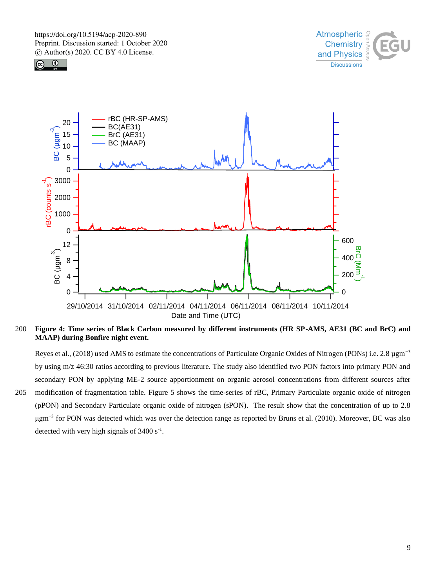





200 **Figure 4: Time series of Black Carbon measured by different instruments (HR SP-AMS, AE31 (BC and BrC) and MAAP) during Bonfire night event.**

Reyes et al., (2018) used AMS to estimate the concentrations of Particulate Organic Oxides of Nitrogen (PONs) i.e. 2.8 µgm−3 by using m/z 46:30 ratios according to previous literature. The study also identified two PON factors into primary PON and secondary PON by applying ME-2 source apportionment on organic aerosol concentrations from different sources after 205 modification of fragmentation table. Figure 5 shows the time-series of rBC, Primary Particulate organic oxide of nitrogen (pPON) and Secondary Particulate organic oxide of nitrogen (sPON). The result show that the concentration of up to 2.8 μgm−3 for PON was detected which was over the detection range as reported by Bruns et al. (2010). Moreover, BC was also detected with very high signals of  $3400 \text{ s}^{-1}$ .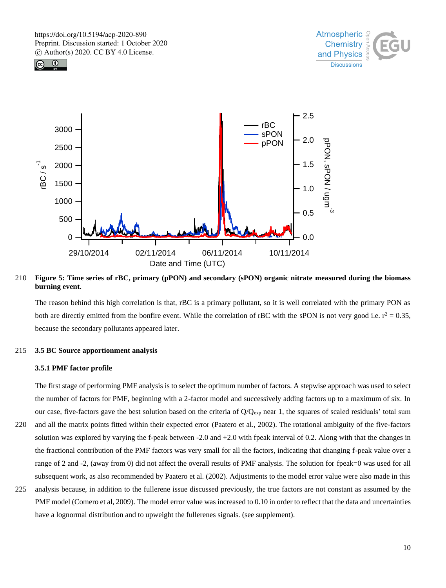





210 **Figure 5: Time series of rBC, primary (pPON) and secondary (sPON) organic nitrate measured during the biomass burning event.**

The reason behind this high correlation is that, rBC is a primary pollutant, so it is well correlated with the primary PON as both are directly emitted from the bonfire event. While the correlation of rBC with the sPON is not very good i.e.  $r^2 = 0.35$ , because the secondary pollutants appeared later.

#### 215 **3.5 BC Source apportionment analysis**

### **3.5.1 PMF factor profile**

The first stage of performing PMF analysis is to select the optimum number of factors. A stepwise approach was used to select the number of factors for PMF, beginning with a 2-factor model and successively adding factors up to a maximum of six. In our case, five-factors gave the best solution based on the criteria of  $Q/Q_{exp}$  near 1, the squares of scaled residuals' total sum

- 220 and all the matrix points fitted within their expected error (Paatero et al., 2002). The rotational ambiguity of the five-factors solution was explored by varying the f-peak between -2.0 and +2.0 with fpeak interval of 0.2. Along with that the changes in the fractional contribution of the PMF factors was very small for all the factors, indicating that changing f-peak value over a range of 2 and -2, (away from 0) did not affect the overall results of PMF analysis. The solution for fpeak=0 was used for all subsequent work, as also recommended by Paatero et al. (2002). Adjustments to the model error value were also made in this
- 225 analysis because, in addition to the fullerene issue discussed previously, the true factors are not constant as assumed by the PMF model (Comero et al, 2009). The model error value was increased to 0.10 in order to reflect that the data and uncertainties have a lognormal distribution and to upweight the fullerenes signals. (see supplement).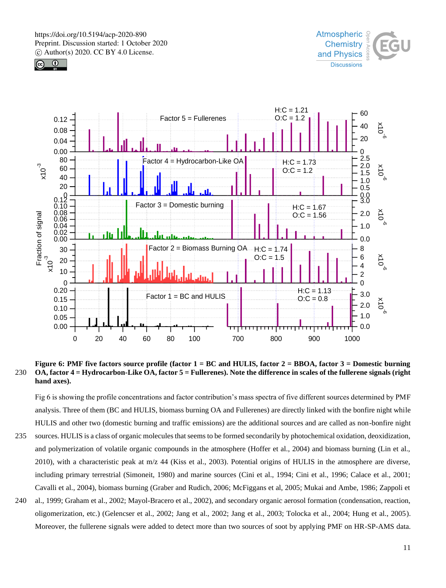





**Figure 6: PMF five factors source profile (factor 1 = BC and HULIS, factor 2 = BBOA, factor 3 = Domestic burning**  230 **OA, factor 4 = Hydrocarbon-Like OA, factor 5 = Fullerenes). Note the difference in scales of the fullerene signals (right hand axes).**

Fig 6 is showing the profile concentrations and factor contribution's mass spectra of five different sources determined by PMF analysis. Three of them (BC and HULIS, biomass burning OA and Fullerenes) are directly linked with the bonfire night while HULIS and other two (domestic burning and traffic emissions) are the additional sources and are called as non-bonfire night

- 235 sources. HULIS is a class of organic molecules that seems to be formed secondarily by photochemical oxidation, deoxidization, and polymerization of volatile organic compounds in the atmosphere (Hoffer et al., 2004) and biomass burning (Lin et al., 2010), with a characteristic peak at m/z 44 (Kiss et al., 2003). Potential origins of HULIS in the atmosphere are diverse, including primary terrestrial (Simoneit, 1980) and marine sources (Cini et al., 1994; Cini et al., 1996; Calace et al., 2001; Cavalli et al., 2004), biomass burning (Graber and Rudich, 2006; McFiggans et al, 2005; Mukai and Ambe, 1986; Zappoli et
- 240 al., 1999; Graham et al., 2002; Mayol-Bracero et al., 2002), and secondary organic aerosol formation (condensation, reaction, oligomerization, etc.) (Gelencser et al., 2002; Jang et al., 2002; Jang et al., 2003; Tolocka et al., 2004; Hung et al., 2005). Moreover, the fullerene signals were added to detect more than two sources of soot by applying PMF on HR-SP-AMS data.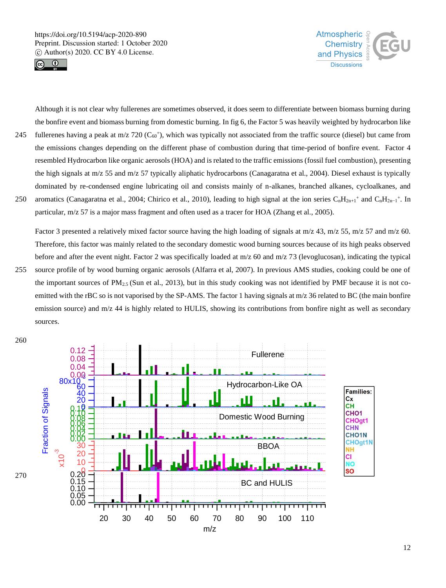



Although it is not clear why fullerenes are sometimes observed, it does seem to differentiate between biomass burning during the bonfire event and biomass burning from domestic burning. In fig 6, the Factor 5 was heavily weighted by hydrocarbon like 245 fullerenes having a peak at m/z 720 ( $C_{60}$ <sup>+</sup>), which was typically not associated from the traffic source (diesel) but came from the emissions changes depending on the different phase of combustion during that time-period of bonfire event. Factor 4 resembled Hydrocarbon like organic aerosols (HOA) and is related to the traffic emissions (fossil fuel combustion), presenting the high signals at m/z 55 and m/z 57 typically aliphatic hydrocarbons (Canagaratna et al., 2004). Diesel exhaust is typically dominated by re-condensed engine lubricating oil and consists mainly of n-alkanes, branched alkanes, cycloalkanes, and 250 aromatics (Canagaratna et al., 2004; Chirico et al., 2010), leading to high signal at the ion series  $C_nH_{2n+1}$ <sup>+</sup> and  $C_nH_{2n-1}$ <sup>+</sup>. In particular, m/z 57 is a major mass fragment and often used as a tracer for HOA (Zhang et al., 2005).

Factor 3 presented a relatively mixed factor source having the high loading of signals at  $m/z$  43,  $m/z$  55,  $m/z$  57 and  $m/z$  60. Therefore, this factor was mainly related to the secondary domestic wood burning sources because of its high peaks observed before and after the event night. Factor 2 was specifically loaded at m/z 60 and m/z 73 (levoglucosan), indicating the typical

255 source profile of by wood burning organic aerosols (Alfarra et al, 2007). In previous AMS studies, cooking could be one of the important sources of  $PM_{2.5}$  (Sun et al., 2013), but in this study cooking was not identified by PMF because it is not coemitted with the rBC so is not vaporised by the SP-AMS. The factor 1 having signals at m/z 36 related to BC (the main bonfire emission source) and m/z 44 is highly related to HULIS, showing its contributions from bonfire night as well as secondary sources.

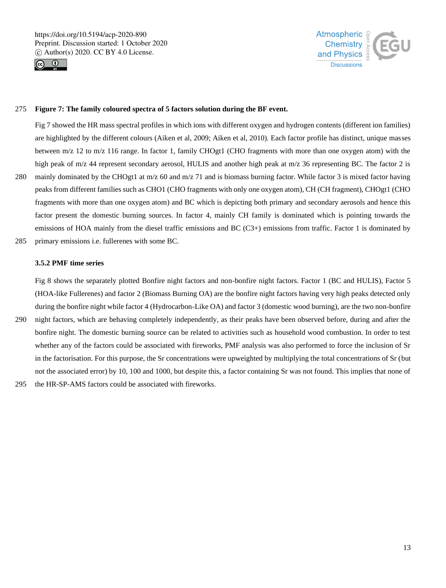



### 275 **Figure 7: The family coloured spectra of 5 factors solution during the BF event.**

Fig 7 showed the HR mass spectral profiles in which ions with different oxygen and hydrogen contents (different ion families) are highlighted by the different colours (Aiken et al, 2009; Aiken et al, 2010). Each factor profile has distinct, unique masses between m/z 12 to m/z 116 range. In factor 1, family CHOgt1 (CHO fragments with more than one oxygen atom) with the high peak of m/z 44 represent secondary aerosol, HULIS and another high peak at m/z 36 representing BC. The factor 2 is 280 mainly dominated by the CHOgt1 at m/z 60 and m/z 71 and is biomass burning factor. While factor 3 is mixed factor having peaks from different families such as CHO1 (CHO fragments with only one oxygen atom), CH (CH fragment), CHOgt1 (CHO fragments with more than one oxygen atom) and BC which is depicting both primary and secondary aerosols and hence this factor present the domestic burning sources. In factor 4, mainly CH family is dominated which is pointing towards the emissions of HOA mainly from the diesel traffic emissions and BC (C3+) emissions from traffic. Factor 1 is dominated by 285 primary emissions i.e. fullerenes with some BC.

**3.5.2 PMF time series**

Fig 8 shows the separately plotted Bonfire night factors and non-bonfire night factors. Factor 1 (BC and HULIS), Factor 5 (HOA-like Fullerenes) and factor 2 (Biomass Burning OA) are the bonfire night factors having very high peaks detected only during the bonfire night while factor 4 (Hydrocarbon-Like OA) and factor 3 (domestic wood burning), are the two non-bonfire

- 290 night factors, which are behaving completely independently, as their peaks have been observed before, during and after the bonfire night. The domestic burning source can be related to activities such as household wood combustion. In order to test whether any of the factors could be associated with fireworks, PMF analysis was also performed to force the inclusion of Sr in the factorisation. For this purpose, the Sr concentrations were upweighted by multiplying the total concentrations of Sr (but not the associated error) by 10, 100 and 1000, but despite this, a factor containing Sr was not found. This implies that none of 295 the HR-SP-AMS factors could be associated with fireworks.
-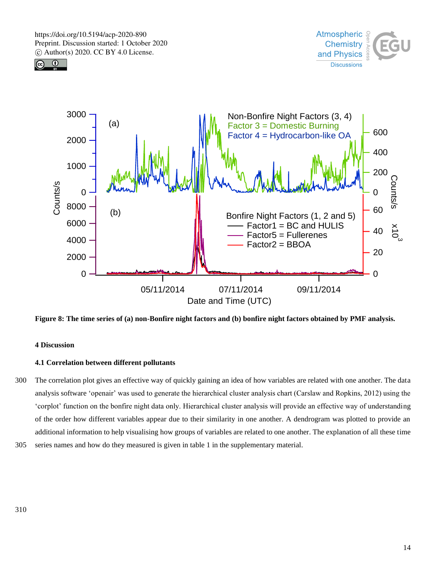





**Figure 8: The time series of (a) non-Bonfire night factors and (b) bonfire night factors obtained by PMF analysis.** 

## **4 Discussion**

## **4.1 Correlation between different pollutants**

300 The correlation plot gives an effective way of quickly gaining an idea of how variables are related with one another. The data analysis software 'openair' was used to generate the hierarchical cluster analysis chart (Carslaw and Ropkins, 2012) using the 'corplot' function on the bonfire night data only. Hierarchical cluster analysis will provide an effective way of understanding of the order how different variables appear due to their similarity in one another. A dendrogram was plotted to provide an additional information to help visualising how groups of variables are related to one another. The explanation of all these time 305 series names and how do they measured is given in table 1 in the supplementary material.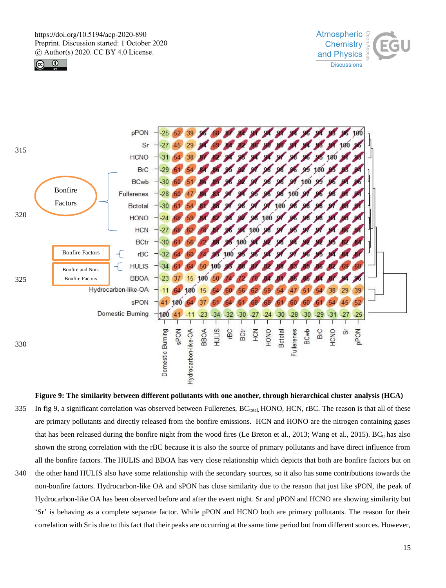





**Figure 9: The similarity between different pollutants with one another, through hierarchical cluster analysis (HCA)** 335 In fig 9, a significant correlation was observed between Fullerenes, BC<sub>total</sub>, HONO, HCN, rBC. The reason is that all of these are primary pollutants and directly released from the bonfire emissions. HCN and HONO are the nitrogen containing gases that has been released during the bonfire night from the wood fires (Le Breton et al., 2013; Wang et al., 2015).  $BC<sub>tr</sub>$  has also shown the strong correlation with the rBC because it is also the source of primary pollutants and have direct influence from all the bonfire factors. The HULIS and BBOA has very close relationship which depicts that both are bonfire factors but on 340 the other hand HULIS also have some relationship with the secondary sources, so it also has some contributions towards the non-bonfire factors. Hydrocarbon-like OA and sPON has close similarity due to the reason that just like sPON, the peak of

Hydrocarbon-like OA has been observed before and after the event night. Sr and pPON and HCNO are showing similarity but 'Sr' is behaving as a complete separate factor. While pPON and HCNO both are primary pollutants. The reason for their correlation with Sr is due to this fact that their peaks are occurring at the same time period but from different sources. However,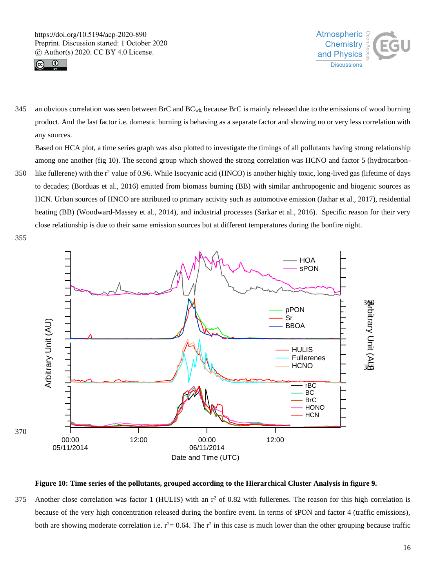



345 an obvious correlation was seen between BrC and  $BC_{wb}$  because BrC is mainly released due to the emissions of wood burning product. And the last factor i.e. domestic burning is behaving as a separate factor and showing no or very less correlation with any sources.

Based on HCA plot, a time series graph was also plotted to investigate the timings of all pollutants having strong relationship among one another (fig 10). The second group which showed the strong correlation was HCNO and factor 5 (hydrocarbon-

350 like fullerene) with the  $r^2$  value of 0.96. While Isocyanic acid (HNCO) is another highly toxic, long-lived gas (lifetime of days to decades; (Borduas et al., 2016) emitted from biomass burning (BB) with similar anthropogenic and biogenic sources as HCN. Urban sources of HNCO are attributed to primary activity such as automotive emission (Jathar et al., 2017), residential heating (BB) (Woodward-Massey et al., 2014), and industrial processes (Sarkar et al., 2016). Specific reason for their very close relationship is due to their same emission sources but at different temperatures during the bonfire night.

355



**Figure 10: Time series of the pollutants, grouped according to the Hierarchical Cluster Analysis in figure 9.**

375 Another close correlation was factor 1 (HULIS) with an  $r^2$  of 0.82 with fullerenes. The reason for this high correlation is because of the very high concentration released during the bonfire event. In terms of sPON and factor 4 (traffic emissions), both are showing moderate correlation i.e.  $r^2 = 0.64$ . The  $r^2$  in this case is much lower than the other grouping because traffic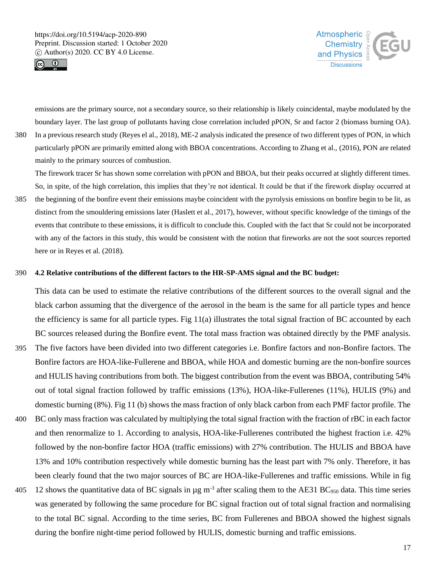



emissions are the primary source, not a secondary source, so their relationship is likely coincidental, maybe modulated by the boundary layer. The last group of pollutants having close correlation included pPON, Sr and factor 2 (biomass burning OA).

380 In a previous research study (Reyes el al., 2018), ME-2 analysis indicated the presence of two different types of PON, in which particularly pPON are primarily emitted along with BBOA concentrations. According to Zhang et al., (2016), PON are related mainly to the primary sources of combustion.

The firework tracer Sr has shown some correlation with pPON and BBOA, but their peaks occurred at slightly different times. So, in spite, of the high correlation, this implies that they're not identical. It could be that if the firework display occurred at

385 the beginning of the bonfire event their emissions maybe coincident with the pyrolysis emissions on bonfire begin to be lit, as distinct from the smouldering emissions later (Haslett et al., 2017), however, without specific knowledge of the timings of the events that contribute to these emissions, it is difficult to conclude this. Coupled with the fact that Sr could not be incorporated with any of the factors in this study, this would be consistent with the notion that fireworks are not the soot sources reported here or in Reyes et al. (2018).

# 390 **4.2 Relative contributions of the different factors to the HR-SP-AMS signal and the BC budget:**

This data can be used to estimate the relative contributions of the different sources to the overall signal and the black carbon assuming that the divergence of the aerosol in the beam is the same for all particle types and hence the efficiency is same for all particle types. Fig 11(a) illustrates the total signal fraction of BC accounted by each BC sources released during the Bonfire event. The total mass fraction was obtained directly by the PMF analysis.

- 395 The five factors have been divided into two different categories i.e. Bonfire factors and non-Bonfire factors. The Bonfire factors are HOA-like-Fullerene and BBOA, while HOA and domestic burning are the non-bonfire sources and HULIS having contributions from both. The biggest contribution from the event was BBOA, contributing 54% out of total signal fraction followed by traffic emissions (13%), HOA-like-Fullerenes (11%), HULIS (9%) and domestic burning (8%). Fig 11 (b) shows the mass fraction of only black carbon from each PMF factor profile. The
- 400 BC only mass fraction was calculated by multiplying the total signal fraction with the fraction of rBC in each factor and then renormalize to 1. According to analysis, HOA-like-Fullerenes contributed the highest fraction i.e. 42% followed by the non-bonfire factor HOA (traffic emissions) with 27% contribution. The HULIS and BBOA have 13% and 10% contribution respectively while domestic burning has the least part with 7% only. Therefore, it has been clearly found that the two major sources of BC are HOA-like-Fullerenes and traffic emissions. While in fig
- 405 12 shows the quantitative data of BC signals in  $\mu$ g m<sup>-3</sup> after scaling them to the AE31 BC<sub>950</sub> data. This time series was generated by following the same procedure for BC signal fraction out of total signal fraction and normalising to the total BC signal. According to the time series, BC from Fullerenes and BBOA showed the highest signals during the bonfire night-time period followed by HULIS, domestic burning and traffic emissions.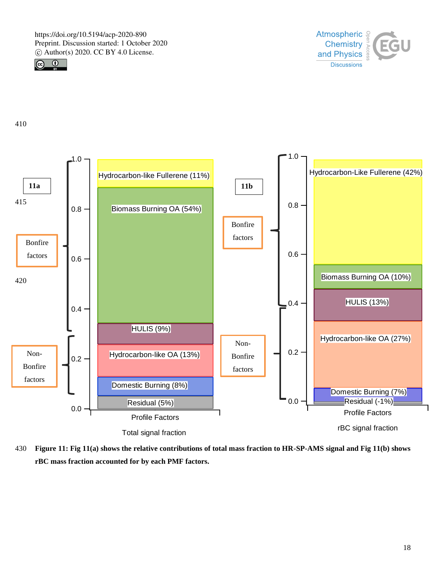



410



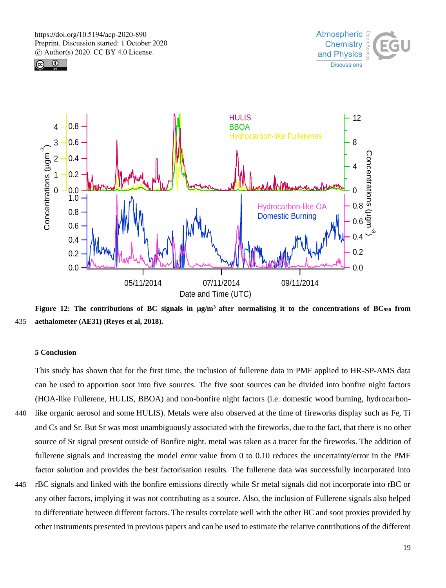





**Figure 12: The contributions of BC signals in µg/m<sup>3</sup>after normalising it to the concentrations of BC<sup>950</sup> from**  435 **aethalometer (AE31) (Reyes et al, 2018).**

## **5 Conclusion**

This study has shown that for the first time, the inclusion of fullerene data in PMF applied to HR-SP-AMS data can be used to apportion soot into five sources. The five soot sources can be divided into bonfire night factors (HOA-like Fullerene, HULIS, BBOA) and non-bonfire night factors (i.e. domestic wood burning, hydrocarbon-440 like organic aerosol and some HULIS). Metals were also observed at the time of fireworks display such as Fe, Ti and Cs and Sr. But Sr was most unambiguously associated with the fireworks, due to the fact, that there is no other source of Sr signal present outside of Bonfire night. metal was taken as a tracer for the fireworks. The addition of fullerene signals and increasing the model error value from 0 to 0.10 reduces the uncertainty/error in the PMF factor solution and provides the best factorisation results. The fullerene data was successfully incorporated into

445 rBC signals and linked with the bonfire emissions directly while Sr metal signals did not incorporate into rBC or any other factors, implying it was not contributing as a source. Also, the inclusion of Fullerene signals also helped to differentiate between different factors. The results correlate well with the other BC and soot proxies provided by other instruments presented in previous papers and can be used to estimate the relative contributions of the different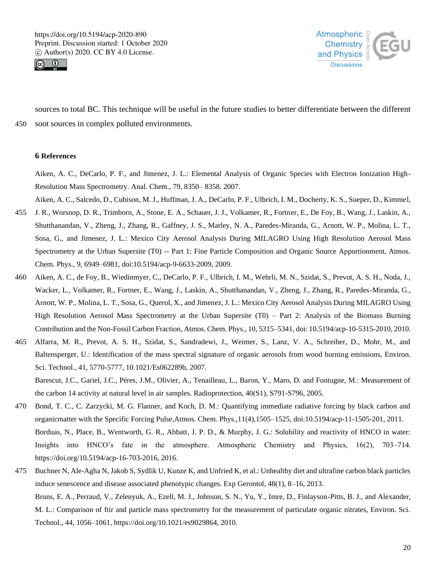



sources to total BC. This technique will be useful in the future studies to better differentiate between the different 450 soot sources in complex polluted environments.

### **6 References**

Aiken, A. C., DeCarlo, P. F., and Jimenez, J. L.: Elemental Analysis of Organic Species with Electron Ionization High-Resolution Mass Spectrometry. Anal. Chem., 79, 8350– 8358. 2007.

- Aiken, A. C., Salcedo, D., Cubison, M. J., Huffman, J. A., DeCarlo, P. F., Ulbrich, I. M., Docherty, K. S., Sueper, D., Kimmel, 455 J. R., Worsnop, D. R., Trimborn, A., Stone, E. A., Schauer, J. J., Volkamer, R., Fortner, E., De Foy, B., Wang, J., Laskin, A., Shutthanandan, V., Zheng, J., Zhang, R., Gaffney, J. S., Marley, N. A., Paredes-Miranda, G., Arnott, W. P., Molina, L. T., Sosa, G., and Jimenez, J. L.: Mexico City Aerosol Analysis During MILAGRO Using High Resolution Aerosol Mass Spectrometry at the Urban Supersite (T0) -- Part 1: Fine Particle Composition and Organic Source Apportionment, Atmos. Chem. Phys., 9, 6949–6981, doi:10.5194/acp-9-6633-2009, 2009.
- 460 Aiken, A. C., de Foy, B., Wiedinmyer, C., DeCarlo, P. F., Ulbrich, I. M., Wehrli, M. N., Szidat, S., Prevot, A. S. H., Noda, J., Wacker, L., Volkamer, R., Fortner, E., Wang, J., Laskin, A., Shutthanandan, V., Zheng, J., Zhang, R., Paredes-Miranda, G., Arnott, W. P., Molina, L. T., Sosa, G., Querol, X., and Jimenez, J. L.: Mexico City Aerosol Analysis During MILAGRO Using High Resolution Aerosol Mass Spectrometry at the Urban Supersite (T0) – Part 2: Analysis of the Biomass Burning Contribution and the Non-Fossil Carbon Fraction, Atmos. Chem. Phys., 10, 5315–5341, doi: 10.5194/acp-10-5315-2010, 2010.
- 465 Alfarra, M. R., Prevot, A. S. H., Szidat, S., Sandradewi, J., Weimer, S., Lanz, V. A., Schreiber, D., Mohr, M., and Baltensperger, U.: Identification of the mass spectral signature of organic aerosols from wood burning emissions, Environ. Sci. Technol., 41, 5770-5777, 10.1021/Es062289b, 2007.

Barescut, J.C., Gariel, J.C., Péres, J.M., Olivier, A., Tenailleau, L., Baron, Y., Maro, D. and Fontugne, M.: Measurement of the carbon 14 activity at natural level in air samples. Radioprotection, 40(S1), S791-S796, 2005.

- 470 Bond, T. C., C. Zarzycki, M. G. Flanner, and Koch, D. M.: Quantifying immediate radiative forcing by black carbon and organicmatter with the Specific Forcing Pulse,Atmos. Chem. Phys.,11(4),1505–1525, doi:10.5194/acp-11-1505-201, 2011. Borduas, N., Place, B., Wentworth, G. R., Abbatt, J. P. D., & Murphy, J. G.: Solubility and reactivity of HNCO in water: Insights into HNCO's fate in the atmosphere. Atmospheric Chemistry and Physics, 16(2), 703–714. https://doi.org/10.5194/acp-16-703-2016, 2016.
- 475 Buchner N, Ale-Agha N, Jakob S, Sydlik U, Kunze K, and Unfried K, et al.: Unhealthy diet and ultrafine carbon black particles induce senescence and disease associated phenotypic changes. Exp Gerontol, 48(1), 8–16, 2013. Bruns, E. A., Perraud, V., Zelenyuk, A., Ezell, M. J., Johnson, S. N., Yu, Y., Imre, D., Finlayson-Pitts, B. J., and Alexander, M. L.: Comparison of ftir and particle mass spectrometry for the measurement of particulate organic nitrates, Environ. Sci. Technol., 44, 1056–1061, https://doi.org/10.1021/es9029864, 2010.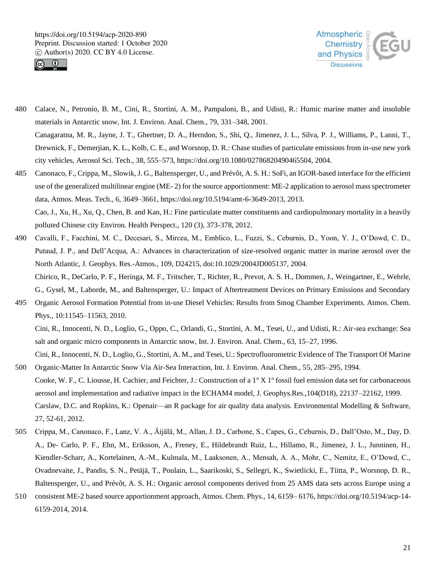Phys., 10:11545–11563, 2010.





- 480 Calace, N., Petronio, B. M., Cini, R., Stortini, A. M., Pampaloni, B., and Udisti, R.: Humic marine matter and insoluble materials in Antarctic snow, Int. J. Environ. Anal. Chem., 79, 331–348, 2001.
	- Canagaratna, M. R., Jayne, J. T., Ghertner, D. A., Herndon, S., Shi, Q., Jimenez, J. L., Silva, P. J., Williams, P., Lanni, T., Drewnick, F., Demerjian, K. L., Kolb, C. E., and Worsnop, D. R.: Chase studies of particulate emissions from in-use new york city vehicles, Aerosol Sci. Tech., 38, 555–573, https://doi.org/10.1080/02786820490465504, 2004.
- 485 Canonaco, F., Crippa, M., Slowik, J. G., Baltensperger, U., and Prévôt, A. S. H.: SoFi, an IGOR-based interface for the efficient use of the generalized multilinear engine (ME- 2) for the source apportionment: ME-2 application to aerosol mass spectrometer data, Atmos. Meas. Tech., 6, 3649–3661, https://doi.org/10.5194/amt-6-3649-2013, 2013. Cao, J., Xu, H., Xu, Q., Chen, B. and Kan, H.: Fine particulate matter constituents and cardiopulmonary mortality in a heavily

polluted Chinese city Environ. Health Perspect., 120 (3), 373-378, 2012.

- 490 Cavalli, F., Facchini, M. C., Decesari, S., Mircea, M., Emblico, L., Fuzzi, S., Ceburnis, D., Yoon, Y. J., O'Dowd, C. D., Putaud, J. P., and Dell'Acqua, A.: Advances in characterization of size-resolved organic matter in marine aerosol over the North Atlantic, J. Geophys. Res.-Atmos., 109, D24215, doi:10.1029/2004JD005137, 2004. Chirico, R., DeCarlo, P. F., Heringa, M. F., Tritscher, T., Richter, R., Prevot, A. S. H., Dommen, J., Weingartner, E., Wehrle,
- G., Gysel, M., Laborde, M., and Baltensperger, U.: Impact of Aftertreatment Devices on Primary Emissions and Secondary 495 Organic Aerosol Formation Potential from in-use Diesel Vehicles: Results from Smog Chamber Experiments. Atmos. Chem.
	- Cini, R., Innocenti, N. D., Loglio, G., Oppo, C., Orlandi, G., Stortini, A. M., Tesei, U., and Udisti, R.: Air-sea exchange: Sea salt and organic micro components in Antarctic snow, Int. J. Environ. Anal. Chem., 63, 15–27, 1996.

Cini, R., Innocenti, N. D., Loglio, G., Stortini, A. M., and Tesei, U.: Spectrofluorometric Evidence of The Transport Of Marine 500 Organic-Matter In Antarctic Snow Via Air-Sea Interaction, Int. J. Environ. Anal. Chem., 55, 285–295, 1994.

- Cooke, W. F., C. Liousse, H. Cachier, and Feichter, J.: Construction of a  $1^\circ$  X  $1^\circ$  fossil fuel emission data set for carbonaceous aerosol and implementation and radiative impact in the ECHAM4 model, J. Geophys.Res.,104(D18), 22137–22162, 1999. Carslaw, D.C. and Ropkins, K.: Openair—an R package for air quality data analysis. Environmental Modelling & Software, 27, 52-61, 2012.
- 505 Crippa, M., Canonaco, F., Lanz, V. A., Äijälä, M., Allan, J. D., Carbone, S., Capes, G., Ceburnis, D., Dall'Osto, M., Day, D. A., De- Carlo, P. F., Ehn, M., Eriksson, A., Freney, E., Hildebrandt Ruiz, L., Hillamo, R., Jimenez, J. L., Junninen, H., Kiendler-Scharr, A., Kortelainen, A.-M., Kulmala, M., Laaksonen, A., Mensah, A. A., Mohr, C., Nemitz, E., O'Dowd, C., Ovadnevaite, J., Pandis, S. N., Petäjä, T., Poulain, L., Saarikoski, S., Sellegri, K., Swietlicki, E., Tiitta, P., Worsnop, D. R., Baltensperger, U., and Prévôt, A. S. H.: Organic aerosol components derived from 25 AMS data sets across Europe using a
- 510 consistent ME-2 based source apportionment approach, Atmos. Chem. Phys., 14, 6159– 6176, https://doi.org/10.5194/acp-14- 6159-2014, 2014.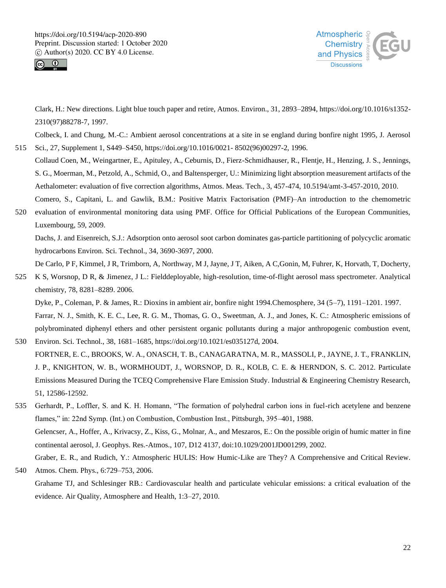



Clark, H.: New directions. Light blue touch paper and retire, Atmos. Environ., 31, 2893–2894, https://doi.org/10.1016/s1352- 2310(97)88278-7, 1997.

Colbeck, I. and Chung, M.-C.: Ambient aerosol concentrations at a site in se england during bonfire night 1995, J. Aerosol 515 Sci., 27, Supplement 1, S449–S450, https://doi.org/10.1016/0021- 8502(96)00297-2, 1996.

- Collaud Coen, M., Weingartner, E., Apituley, A., Ceburnis, D., Fierz-Schmidhauser, R., Flentje, H., Henzing, J. S., Jennings, S. G., Moerman, M., Petzold, A., Schmid, O., and Baltensperger, U.: Minimizing light absorption measurement artifacts of the Aethalometer: evaluation of five correction algorithms, Atmos. Meas. Tech., 3, 457-474, 10.5194/amt-3-457-2010, 2010.
- Comero, S., Capitani, L. and Gawlik, B.M.: Positive Matrix Factorisation (PMF)–An introduction to the chemometric 520 evaluation of environmental monitoring data using PMF. Office for Official Publications of the European Communities, Luxembourg, 59, 2009.

Dachs, J. and Eisenreich, S.J.: Adsorption onto aerosol soot carbon dominates gas-particle partitioning of polycyclic aromatic hydrocarbons Environ. Sci. Technol., 34, 3690-3697, 2000.

De Carlo, P F, Kimmel, J R, Trimborn, A, Northway, M J, Jayne, J T, Aiken, A C,Gonin, M, Fuhrer, K, Horvath, T, Docherty, 525 K S, Worsnop, D R, & Jimenez, J L.: Fielddeployable, high-resolution, time-of-flight aerosol mass spectrometer. Analytical

chemistry, 78, 8281–8289. 2006. Dyke, P., Coleman, P. & James, R.: Dioxins in ambient air, bonfire night 1994.Chemosphere, 34 (5–7), 1191–1201. 1997. Farrar, N. J., Smith, K. E. C., Lee, R. G. M., Thomas, G. O., Sweetman, A. J., and Jones, K. C.: Atmospheric emissions of polybrominated diphenyl ethers and other persistent organic pollutants during a major anthropogenic combustion event,

- 530 Environ. Sci. Technol., 38, 1681–1685, https://doi.org/10.1021/es035127d, 2004. FORTNER, E. C., BROOKS, W. A., ONASCH, T. B., CANAGARATNA, M. R., MASSOLI, P., JAYNE, J. T., FRANKLIN, J. P., KNIGHTON, W. B., WORMHOUDT, J., WORSNOP, D. R., KOLB, C. E. & HERNDON, S. C. 2012. Particulate Emissions Measured During the TCEQ Comprehensive Flare Emission Study. Industrial & Engineering Chemistry Research, 51, 12586-12592.
- 535 Gerhardt, P., Loffler, S. and K. H. Homann, "The formation of polyhedral carbon ions in fuel-rich acetylene and benzene flames," in: 22nd Symp. (Int.) on Combustion, Combustion Inst., Pittsburgh, 395–401, 1988. Gelencser, A., Hoffer, A., Krivacsy, Z., Kiss, G., Molnar, A., and Meszaros, E.: On the possible origin of humic matter in fine continental aerosol, J. Geophys. Res.-Atmos., 107, D12 4137, doi:10.1029/2001JD001299, 2002. Graber, E. R., and Rudich, Y.: Atmospheric HULIS: How Humic-Like are They? A Comprehensive and Critical Review.
- 540 Atmos. Chem. Phys., 6:729–753, 2006. Grahame TJ, and Schlesinger RB.: Cardiovascular health and particulate vehicular emissions: a critical evaluation of the evidence. Air Quality, Atmosphere and Health, 1:3–27, 2010.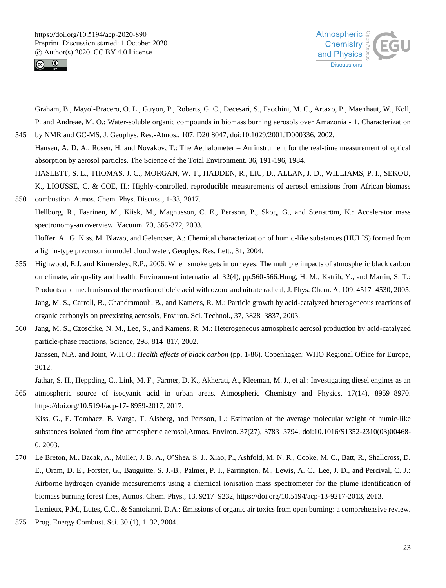



Graham, B., Mayol-Bracero, O. L., Guyon, P., Roberts, G. C., Decesari, S., Facchini, M. C., Artaxo, P., Maenhaut, W., Koll, P. and Andreae, M. O.: Water-soluble organic compounds in biomass burning aerosols over Amazonia - 1. Characterization 545 by NMR and GC-MS, J. Geophys. Res.-Atmos., 107, D20 8047, doi:10.1029/2001JD000336, 2002.

- Hansen, A. D. A., Rosen, H. and Novakov, T.: The Aethalometer An instrument for the real-time measurement of optical absorption by aerosol particles. The Science of the Total Environment. 36, 191-196, 1984. HASLETT, S. L., THOMAS, J. C., MORGAN, W. T., HADDEN, R., LIU, D., ALLAN, J. D., WILLIAMS, P. I., SEKOU, K., LIOUSSE, C. & COE, H.: Highly-controlled, reproducible measurements of aerosol emissions from African biomass
- 550 combustion. Atmos. Chem. Phys. Discuss., 1-33, 2017. Hellborg, R., Faarinen, M., Kiisk, M., Magnusson, C. E., Persson, P., Skog, G., and Stenström, K.: Accelerator mass spectronomy-an overview. Vacuum. 70, 365-372, 2003. Hoffer, A., G. Kiss, M. Blazso, and Gelencser, A.: Chemical characterization of humic-like substances (HULIS) formed from a lignin-type precursor in model cloud water, Geophys. Res. Lett., 31, 2004.
- 555 Highwood, E.J. and Kinnersley, R.P., 2006. When smoke gets in our eyes: The multiple impacts of atmospheric black carbon on climate, air quality and health. Environment international, 32(4), pp.560-566.Hung, H. M., Katrib, Y., and Martin, S. T.: Products and mechanisms of the reaction of oleic acid with ozone and nitrate radical, J. Phys. Chem. A, 109, 4517–4530, 2005. Jang, M. S., Carroll, B., Chandramouli, B., and Kamens, R. M.: Particle growth by acid-catalyzed heterogeneous reactions of organic carbonyls on preexisting aerosols, Environ. Sci. Technol., 37, 3828–3837, 2003.
- 560 Jang, M. S., Czoschke, N. M., Lee, S., and Kamens, R. M.: Heterogeneous atmospheric aerosol production by acid-catalyzed particle-phase reactions, Science, 298, 814–817, 2002. Janssen, N.A. and Joint, W.H.O.: *Health effects of black carbon* (pp. 1-86). Copenhagen: WHO Regional Office for Europe, 2012.

Jathar, S. H., Heppding, C., Link, M. F., Farmer, D. K., Akherati, A., Kleeman, M. J., et al.: Investigating diesel engines as an

565 atmospheric source of isocyanic acid in urban areas. Atmospheric Chemistry and Physics, 17(14), 8959–8970. https://doi.org/10.5194/acp-17- 8959-2017, 2017.

Kiss, G., E. Tombacz, B. Varga, T. Alsberg, and Persson, L.: Estimation of the average molecular weight of humic-like substances isolated from fine atmospheric aerosol,Atmos. Environ.,37(27), 3783–3794, doi:10.1016/S1352-2310(03)00468- 0, 2003.

- 570 Le Breton, M., Bacak, A., Muller, J. B. A., O'Shea, S. J., Xiao, P., Ashfold, M. N. R., Cooke, M. C., Batt, R., Shallcross, D. E., Oram, D. E., Forster, G., Bauguitte, S. J.-B., Palmer, P. I., Parrington, M., Lewis, A. C., Lee, J. D., and Percival, C. J.: Airborne hydrogen cyanide measurements using a chemical ionisation mass spectrometer for the plume identification of biomass burning forest fires, Atmos. Chem. Phys., 13, 9217–9232, https://doi.org/10.5194/acp-13-9217-2013, 2013. Lemieux, P.M., Lutes, C.C., & Santoianni, D.A.: Emissions of organic air toxics from open burning: a comprehensive review.
- 575 Prog. Energy Combust. Sci. 30 (1), 1–32, 2004.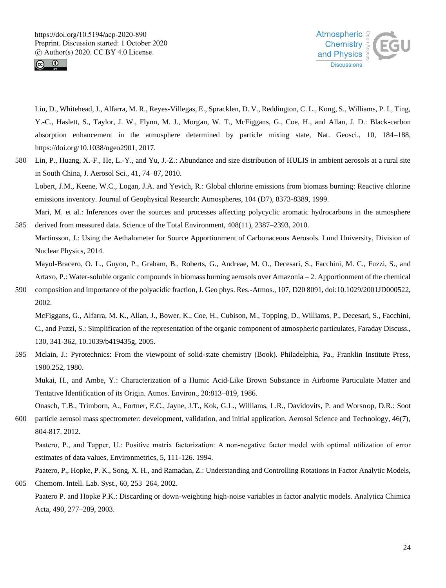



Liu, D., Whitehead, J., Alfarra, M. R., Reyes-Villegas, E., Spracklen, D. V., Reddington, C. L., Kong, S., Williams, P. I., Ting, Y.-C., Haslett, S., Taylor, J. W., Flynn, M. J., Morgan, W. T., McFiggans, G., Coe, H., and Allan, J. D.: Black-carbon absorption enhancement in the atmosphere determined by particle mixing state, Nat. Geosci., 10, 184–188, https://doi.org/10.1038/ngeo2901, 2017.

580 Lin, P., Huang, X.-F., He, L.-Y., and Yu, J.-Z.: Abundance and size distribution of HULIS in ambient aerosols at a rural site in South China, J. Aerosol Sci., 41, 74–87, 2010.

Lobert, J.M., Keene, W.C., Logan, J.A. and Yevich, R.: Global chlorine emissions from biomass burning: Reactive chlorine emissions inventory. Journal of Geophysical Research: Atmospheres, 104 (D7), 8373-8389, 1999.

Mari, M. et al.: Inferences over the sources and processes affecting polycyclic aromatic hydrocarbons in the atmosphere 585 derived from measured data. Science of the Total Environment, 408(11), 2387–2393, 2010.

Martinsson, J.: Using the Aethalometer for Source Apportionment of Carbonaceous Aerosols. Lund University, Division of Nuclear Physics, 2014.

Mayol-Bracero, O. L., Guyon, P., Graham, B., Roberts, G., Andreae, M. O., Decesari, S., Facchini, M. C., Fuzzi, S., and Artaxo, P.: Water-soluble organic compounds in biomass burning aerosols over Amazonia – 2. Apportionment of the chemical

590 composition and importance of the polyacidic fraction, J. Geo phys. Res.-Atmos., 107, D20 8091, doi:10.1029/2001JD000522, 2002.

McFiggans, G., Alfarra, M. K., Allan, J., Bower, K., Coe, H., Cubison, M., Topping, D., Williams, P., Decesari, S., Facchini, C., and Fuzzi, S.: Simplification of the representation of the organic component of atmospheric particulates, Faraday Discuss., 130, 341-362, 10.1039/b419435g, 2005.

595 Mclain, J.: Pyrotechnics: From the viewpoint of solid-state chemistry (Book). Philadelphia, Pa., Franklin Institute Press, 1980.252, 1980.

Mukai, H., and Ambe, Y.: Characterization of a Humic Acid-Like Brown Substance in Airborne Particulate Matter and Tentative Identification of its Origin. Atmos. Environ., 20:813–819, 1986.

Onasch, T.B., Trimborn, A., Fortner, E.C., Jayne, J.T., Kok, G.L., Williams, L.R., Davidovits, P. and Worsnop, D.R.: Soot 600 particle aerosol mass spectrometer: development, validation, and initial application. Aerosol Science and Technology, 46(7), 804-817. 2012.

Paatero, P., and Tapper, U.: Positive matrix factorization: A non-negative factor model with optimal utilization of error estimates of data values, Environmetrics, 5, 111-126. 1994.

Paatero, P., Hopke, P. K., Song, X. H., and Ramadan, Z.: Understanding and Controlling Rotations in Factor Analytic Models, 605 Chemom. Intell. Lab. Syst., 60, 253–264, 2002.

Paatero P. and Hopke P.K.: Discarding or down-weighting high-noise variables in factor analytic models. Analytica Chimica Acta, 490, 277–289, 2003.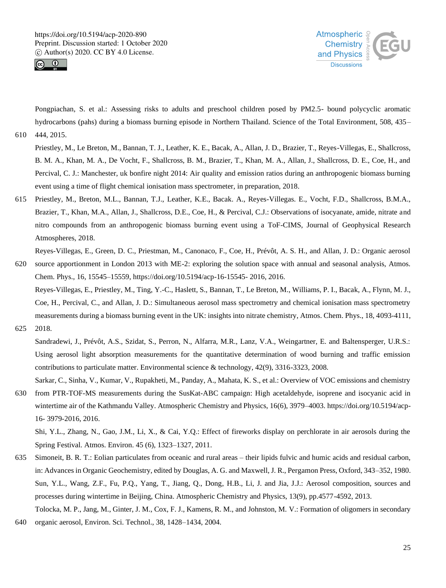



Pongpiachan, S. et al.: Assessing risks to adults and preschool children posed by PM2.5- bound polycyclic aromatic hydrocarbons (pahs) during a biomass burning episode in Northern Thailand. Science of the Total Environment, 508, 435– 610 444, 2015.

Priestley, M., Le Breton, M., Bannan, T. J., Leather, K. E., Bacak, A., Allan, J. D., Brazier, T., Reyes-Villegas, E., Shallcross, B. M. A., Khan, M. A., De Vocht, F., Shallcross, B. M., Brazier, T., Khan, M. A., Allan, J., Shallcross, D. E., Coe, H., and Percival, C. J.: Manchester, uk bonfire night 2014: Air quality and emission ratios during an anthropogenic biomass burning event using a time of flight chemical ionisation mass spectrometer, in preparation, 2018.

615 Priestley, M., Breton, M.L., Bannan, T.J., Leather, K.E., Bacak. A., Reyes-Villegas. E., Vocht, F.D., Shallcross, B.M.A., Brazier, T., Khan, M.A., Allan, J., Shallcross, D.E., Coe, H., & Percival, C.J.: Observations of isocyanate, amide, nitrate and nitro compounds from an anthropogenic biomass burning event using a ToF-CIMS, Journal of Geophysical Research Atmospheres, 2018.

Reyes-Villegas, E., Green, D. C., Priestman, M., Canonaco, F., Coe, H., Prévôt, A. S. H., and Allan, J. D.: Organic aerosol 620 source apportionment in London 2013 with ME-2: exploring the solution space with annual and seasonal analysis, Atmos. Chem. Phys., 16, 15545–15559, https://doi.org/10.5194/acp-16-15545- 2016, 2016.

Reyes-Villegas, E., Priestley, M., Ting, Y.-C., Haslett, S., Bannan, T., Le Breton, M., Williams, P. I., Bacak, A., Flynn, M. J., Coe, H., Percival, C., and Allan, J. D.: Simultaneous aerosol mass spectrometry and chemical ionisation mass spectrometry measurements during a biomass burning event in the UK: insights into nitrate chemistry, Atmos. Chem. Phys., 18, 4093-4111, 625 2018.

Sarkar, C., Sinha, V., Kumar, V., Rupakheti, M., Panday, A., Mahata, K. S., et al.: Overview of VOC emissions and chemistry 630 from PTR-TOF-MS measurements during the SusKat-ABC campaign: High acetaldehyde, isoprene and isocyanic acid in wintertime air of the Kathmandu Valley. Atmospheric Chemistry and Physics, 16(6), 3979–4003. https://doi.org/10.5194/acp-16- 3979-2016, 2016.

Shi, Y.L., Zhang, N., Gao, J.M., Li, X., & Cai, Y.Q.: Effect of fireworks display on perchlorate in air aerosols during the Spring Festival. Atmos. Environ. 45 (6), 1323–1327, 2011.

- 635 Simoneit, B. R. T.: Eolian particulates from oceanic and rural areas their lipids fulvic and humic acids and residual carbon, in: Advances in Organic Geochemistry, edited by Douglas, A. G. and Maxwell, J. R., Pergamon Press, Oxford, 343–352, 1980. Sun, Y.L., Wang, Z.F., Fu, P.Q., Yang, T., Jiang, Q., Dong, H.B., Li, J. and Jia, J.J.: Aerosol composition, sources and processes during wintertime in Beijing, China. Atmospheric Chemistry and Physics, 13(9), pp.4577-4592, 2013. Tolocka, M. P., Jang, M., Ginter, J. M., Cox, F. J., Kamens, R. M., and Johnston, M. V.: Formation of oligomers in secondary
- 640 organic aerosol, Environ. Sci. Technol., 38, 1428–1434, 2004.

Sandradewi, J., Prévôt, A.S., Szidat, S., Perron, N., Alfarra, M.R., Lanz, V.A., Weingartner, E. and Baltensperger, U.R.S.: Using aerosol light absorption measurements for the quantitative determination of wood burning and traffic emission contributions to particulate matter. Environmental science & technology, 42(9), 3316-3323, 2008.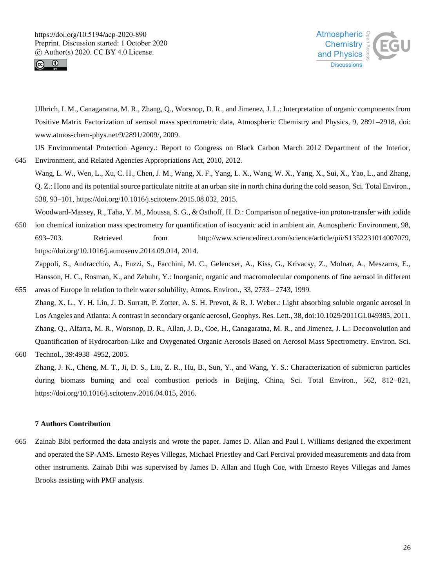



Ulbrich, I. M., Canagaratna, M. R., Zhang, Q., Worsnop, D. R., and Jimenez, J. L.: Interpretation of organic components from Positive Matrix Factorization of aerosol mass spectrometric data, Atmospheric Chemistry and Physics, 9, 2891–2918, doi: www.atmos-chem-phys.net/9/2891/2009/, 2009.

US Environmental Protection Agency.: Report to Congress on Black Carbon March 2012 Department of the Interior, 645 Environment, and Related Agencies Appropriations Act, 2010, 2012.

Wang, L. W., Wen, L., Xu, C. H., Chen, J. M., Wang, X. F., Yang, L. X., Wang, W. X., Yang, X., Sui, X., Yao, L., and Zhang, Q. Z.: Hono and its potential source particulate nitrite at an urban site in north china during the cold season, Sci. Total Environ., 538, 93–101, https://doi.org/10.1016/j.scitotenv.2015.08.032, 2015.

Woodward-Massey, R., Taha, Y. M., Moussa, S. G., & Osthoff, H. D.: Comparison of negative-ion proton-transfer with iodide

650 ion chemical ionization mass spectrometry for quantification of isocyanic acid in ambient air. Atmospheric Environment, 98, 693–703. Retrieved from http://www.sciencedirect.com/science/article/pii/S1352231014007079, https://doi.org/10.1016/j.atmosenv.2014.09.014, 2014.

Zappoli, S., Andracchio, A., Fuzzi, S., Facchini, M. C., Gelencser, A., Kiss, G., Krivacsy, Z., Molnar, A., Meszaros, E., Hansson, H. C., Rosman, K., and Zebuhr, Y.: Inorganic, organic and macromolecular components of fine aerosol in different 655 areas of Europe in relation to their water solubility, Atmos. Environ., 33, 2733– 2743, 1999.

Zhang, X. L., Y. H. Lin, J. D. Surratt, P. Zotter, A. S. H. Prevot, & R. J. Weber.: Light absorbing soluble organic aerosol in Los Angeles and Atlanta: A contrast in secondary organic aerosol, Geophys. Res. Lett., 38, doi:10.1029/2011GL049385, 2011. Zhang, Q., Alfarra, M. R., Worsnop, D. R., Allan, J. D., Coe, H., Canagaratna, M. R., and Jimenez, J. L.: Deconvolution and Quantification of Hydrocarbon-Like and Oxygenated Organic Aerosols Based on Aerosol Mass Spectrometry. Environ. Sci. 660 Technol., 39:4938–4952, 2005.

Zhang, J. K., Cheng, M. T., Ji, D. S., Liu, Z. R., Hu, B., Sun, Y., and Wang, Y. S.: Characterization of submicron particles during biomass burning and coal combustion periods in Beijing, China, Sci. Total Environ., 562, 812–821, https://doi.org/10.1016/j.scitotenv.2016.04.015, 2016.

# **7 Authors Contribution**

665 Zainab Bibi performed the data analysis and wrote the paper. James D. Allan and Paul I. Williams designed the experiment and operated the SP-AMS. Ernesto Reyes Villegas, Michael Priestley and Carl Percival provided measurements and data from other instruments. Zainab Bibi was supervised by James D. Allan and Hugh Coe, with Ernesto Reyes Villegas and James Brooks assisting with PMF analysis.